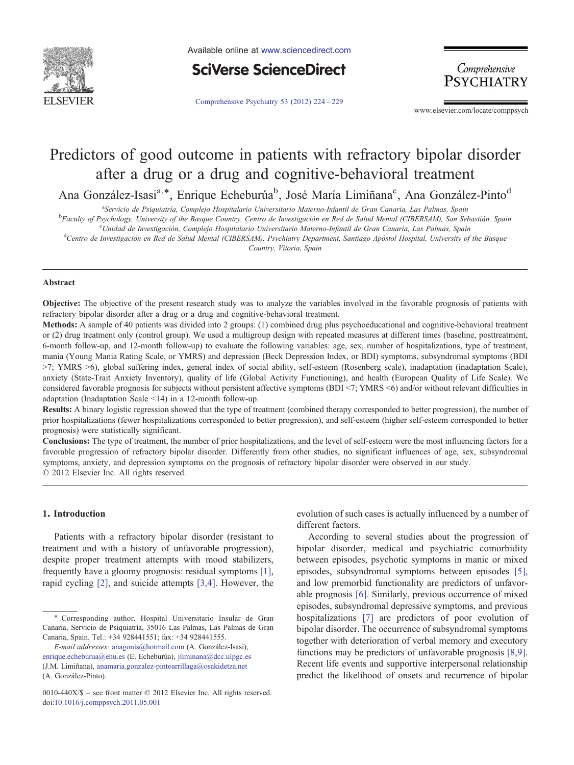

Available online at [www.sciencedirect.com](http://www.sciencedirect.com/science/journal/)

**SciVerse ScienceDirect** 

Comprehensive **PSYCHIATRY** 

[Comprehensive Psychiatry 53 \(2012\) 224](http://dx.doi.org/10.1016/j.comppsych.2011.05.001)–229

www.elsevier.com/locate/comppsych

# Predictors of good outcome in patients with refractory bipolar disorder after a drug or a drug and cognitive-behavioral treatment

Ana González-Isasi<sup>a,\*</sup>, Enrique Echeburúa<sup>b</sup>, José María Limiñana<sup>c</sup>, Ana González-Pinto<sup>d</sup>

<sup>a</sup>Servicio de Psiquiatría, Complejo Hospitalario Universitario Materno-Infantil de Gran Canaria, Las Palmas, Spain<br><sup>b</sup>Ecculty of Psychology, University of the Basque Country, Centro de Investigación en Ped de Salud Mantal

<sup>b</sup>Faculty of Psychology, University of the Basque Country, Centro de Investigación en Red de Salud Mental (CIBERSAM), San Sebastián, Spain

<sup>c</sup>Unidad de Investigación, Complejo Hospitalario Universitario Materno-Infantil de Gran Canaria, Las Palmas, Spain

<sup>d</sup>Centro de Investigación en Red de Salud Mental (CIBERSAM), Psychiatry Department, Santiago Apóstol Hospital, University of the Basque Country, Vitoria, Spain

#### Abstract

Objective: The objective of the present research study was to analyze the variables involved in the favorable prognosis of patients with refractory bipolar disorder after a drug or a drug and cognitive-behavioral treatment.

Methods: A sample of 40 patients was divided into 2 groups: (1) combined drug plus psychoeducational and cognitive-behavioral treatment or (2) drug treatment only (control group). We used a multigroup design with repeated measures at different times (baseline, posttreatment, 6-month follow-up, and 12-month follow-up) to evaluate the following variables: age, sex, number of hospitalizations, type of treatment, mania (Young Mania Rating Scale, or YMRS) and depression (Beck Depression Index, or BDI) symptoms, subsyndromal symptoms (BDI >7; YMRS >6), global suffering index, general index of social ability, self-esteem (Rosenberg scale), inadaptation (inadaptation Scale), anxiety (State-Trait Anxiety Inventory), quality of life (Global Activity Functioning), and health (European Quality of Life Scale). We considered favorable prognosis for subjects without persistent affective symptoms (BDI <7; YMRS <6) and/or without relevant difficulties in adaptation (Inadaptation Scale <14) in a 12-month follow-up.

Results: A binary logistic regression showed that the type of treatment (combined therapy corresponded to better progression), the number of prior hospitalizations (fewer hospitalizations corresponded to better progression), and self-esteem (higher self-esteem corresponded to better prognosis) were statistically significant.

Conclusions: The type of treatment, the number of prior hospitalizations, and the level of self-esteem were the most influencing factors for a favorable progression of refractory bipolar disorder. Differently from other studies, no significant influences of age, sex, subsyndromal symptoms, anxiety, and depression symptoms on the prognosis of refractory bipolar disorder were observed in our study. © 2012 Elsevier Inc. All rights reserved.

## 1. Introduction

Patients with a refractory bipolar disorder (resistant to treatment and with a history of unfavorable progression), despite proper treatment attempts with mood stabilizers, frequently have a gloomy prognosis: residual symptoms [\[1\],](#page-4-0) rapid cycling [\[2\],](#page-4-0) and suicide attempts [\[3,4\].](#page-4-0) However, the evolution of such cases is actually influenced by a number of different factors.

According to several studies about the progression of bipolar disorder, medical and psychiatric comorbidity between episodes, psychotic symptoms in manic or mixed episodes, subsyndromal symptoms between episodes [\[5\],](#page-4-0) and low premorbid functionality are predictors of unfavorable prognosis [\[6\]](#page-4-0). Similarly, previous occurrence of mixed episodes, subsyndromal depressive symptoms, and previous hospitalizations [\[7\]](#page-4-0) are predictors of poor evolution of bipolar disorder. The occurrence of subsyndromal symptoms together with deterioration of verbal memory and executory functions may be predictors of unfavorable prognosis [\[8,9\].](#page-4-0) Recent life events and supportive interpersonal relationship predict the likelihood of onsets and recurrence of bipolar

<sup>⁎</sup> Corresponding author. Hospital Universitario Insular de Gran Canaria, Servicio de Psiquiatría, 35016 Las Palmas, Las Palmas de Gran Canaria, Spain. Tel.: +34 928441551; fax: +34 928441555.

E-mail addresses: [anagonis@hotmail.com](mailto:anagonis@hotmail.com) (A. González-Isasi), [enrique.echeburua@ehu.es](mailto:enrique.echeburua@ehu.es) (E. Echeburúa), [jliminana@dcc.ulpgc.es](mailto:jliminana@dcc.ulpgc.es) (J.M. Limiñana), [anamaria.gonzalez-pintoarrillaga@osakidetza.net](mailto:anamaria.gonzalez-pintoarrillaga@osakidetza.net) (A. González-Pinto).

<sup>0010-440</sup>X/\$ – see front matter © 2012 Elsevier Inc. All rights reserved. doi[:10.1016/j.comppsych.2011.05.001](http://dx.doi.org/10.1016/j.comppsych.2011.05.001)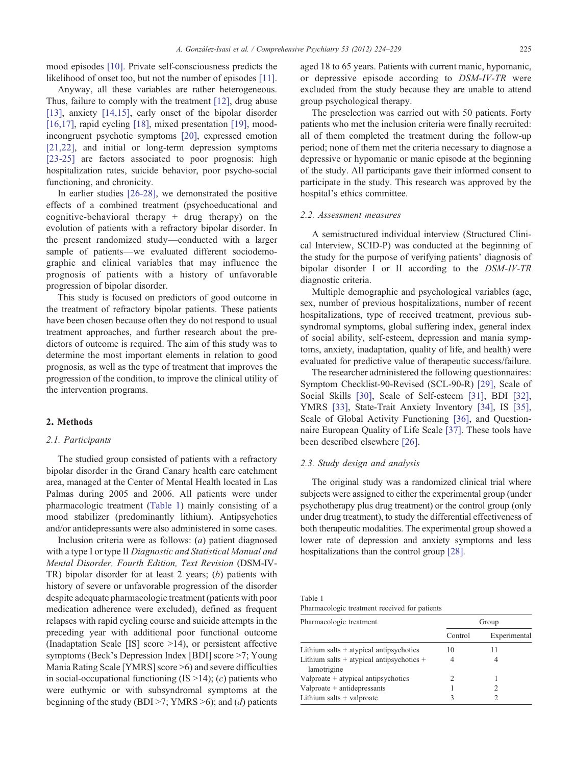mood episodes [\[10\]](#page-4-0). Private self-consciousness predicts the likelihood of onset too, but not the number of episodes [\[11\]](#page-4-0).

Anyway, all these variables are rather heterogeneous. Thus, failure to comply with the treatment [\[12\],](#page-4-0) drug abuse [\[13\]](#page-4-0), anxiety [\[14,15\]](#page-4-0), early onset of the bipolar disorder [\[16,17\],](#page-4-0) rapid cycling [\[18\]](#page-4-0), mixed presentation [\[19\]](#page-4-0), moodincongruent psychotic symptoms [\[20\],](#page-4-0) expressed emotion [\[21,22\]](#page-4-0), and initial or long-term depression symptoms [\[23-25\]](#page-4-0) are factors associated to poor prognosis: high hospitalization rates, suicide behavior, poor psycho-social functioning, and chronicity.

In earlier studies [\[26-28\]](#page-4-0), we demonstrated the positive effects of a combined treatment (psychoeducational and cognitive-behavioral therapy  $+$  drug therapy) on the evolution of patients with a refractory bipolar disorder. In the present randomized study—conducted with a larger sample of patients—we evaluated different sociodemographic and clinical variables that may influence the prognosis of patients with a history of unfavorable progression of bipolar disorder.

This study is focused on predictors of good outcome in the treatment of refractory bipolar patients. These patients have been chosen because often they do not respond to usual treatment approaches, and further research about the predictors of outcome is required. The aim of this study was to determine the most important elements in relation to good prognosis, as well as the type of treatment that improves the progression of the condition, to improve the clinical utility of the intervention programs.

#### 2. Methods

### 2.1. Participants

The studied group consisted of patients with a refractory bipolar disorder in the Grand Canary health care catchment area, managed at the Center of Mental Health located in Las Palmas during 2005 and 2006. All patients were under pharmacologic treatment (Table 1) mainly consisting of a mood stabilizer (predominantly lithium). Antipsychotics and/or antidepressants were also administered in some cases.

Inclusion criteria were as follows:  $(a)$  patient diagnosed with a type I or type II Diagnostic and Statistical Manual and Mental Disorder, Fourth Edition, Text Revision (DSM-IV-TR) bipolar disorder for at least 2 years; (b) patients with history of severe or unfavorable progression of the disorder despite adequate pharmacologic treatment (patients with poor medication adherence were excluded), defined as frequent relapses with rapid cycling course and suicide attempts in the preceding year with additional poor functional outcome (Inadaptation Scale [IS] score  $>14$ ), or persistent affective symptoms (Beck's Depression Index [BDI] score  $>7$ ; Young Mania Rating Scale [YMRS] score  $\geq 6$ ) and severe difficulties in social-occupational functioning  $(IS > 14)$ ; (c) patients who were euthymic or with subsyndromal symptoms at the beginning of the study (BDI  $>7$ ; YMRS  $>6$ ); and (d) patients

aged 18 to 65 years. Patients with current manic, hypomanic, or depressive episode according to DSM-IV-TR were excluded from the study because they are unable to attend group psychological therapy.

The preselection was carried out with 50 patients. Forty patients who met the inclusion criteria were finally recruited: all of them completed the treatment during the follow-up period; none of them met the criteria necessary to diagnose a depressive or hypomanic or manic episode at the beginning of the study. All participants gave their informed consent to participate in the study. This research was approved by the hospital's ethics committee.

### 2.2. Assessment measures

A semistructured individual interview (Structured Clinical Interview, SCID-P) was conducted at the beginning of the study for the purpose of verifying patients' diagnosis of bipolar disorder I or II according to the DSM-IV-TR diagnostic criteria.

Multiple demographic and psychological variables (age, sex, number of previous hospitalizations, number of recent hospitalizations, type of received treatment, previous subsyndromal symptoms, global suffering index, general index of social ability, self-esteem, depression and mania symptoms, anxiety, inadaptation, quality of life, and health) were evaluated for predictive value of therapeutic success/failure.

The researcher administered the following questionnaires: Symptom Checklist-90-Revised (SCL-90-R) [\[29\]](#page-4-0), Scale of Social Skills [\[30\],](#page-4-0) Scale of Self-esteem [\[31\],](#page-4-0) BDI [\[32\]](#page-4-0), YMRS [\[33\]](#page-4-0), State-Trait Anxiety Inventory [\[34\]](#page-4-0), IS [\[35\]](#page-4-0), Scale of Global Activity Functioning [\[36\],](#page-4-0) and Questionnaire European Quality of Life Scale [\[37\]](#page-5-0). These tools have been described elsewhere [\[26\]](#page-4-0).

#### 2.3. Study design and analysis

The original study was a randomized clinical trial where subjects were assigned to either the experimental group (under psychotherapy plus drug treatment) or the control group (only under drug treatment), to study the differential effectiveness of both therapeutic modalities. The experimental group showed a lower rate of depression and anxiety symptoms and less hospitalizations than the control group [\[28\]](#page-4-0).

| Table 1 |                                               |  |
|---------|-----------------------------------------------|--|
|         | Pharmacologic treatment received for patients |  |

| Pharmacologic treatment                                      | Group   |              |  |
|--------------------------------------------------------------|---------|--------------|--|
|                                                              | Control | Experimental |  |
| Lithium salts $+$ atypical antipsychotics                    | 10      | 11           |  |
| Lithium salts $+$ atypical antipsychotics $+$<br>lamotrigine |         |              |  |
| Valproate $+$ atypical antipsychotics                        |         |              |  |
| $Valproate + antidepressants$                                |         |              |  |
| Lithium salts $+$ valproate                                  |         |              |  |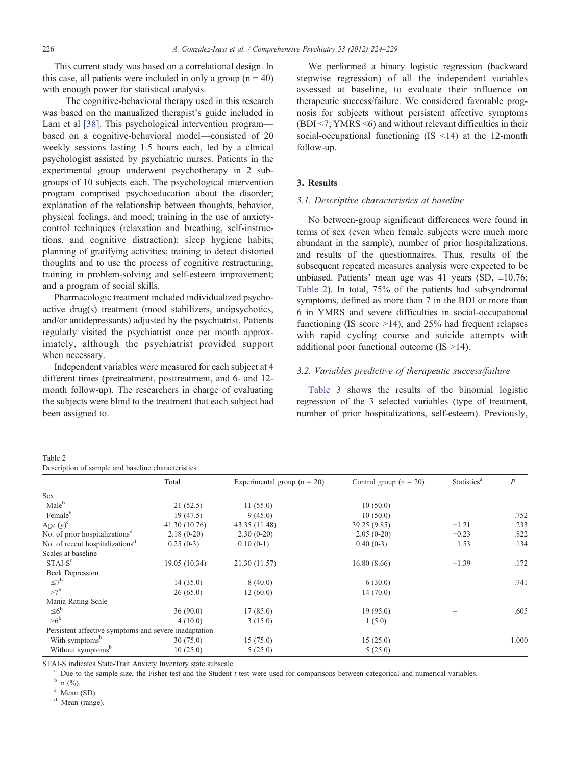This current study was based on a correlational design. In this case, all patients were included in only a group  $(n = 40)$ with enough power for statistical analysis.

The cognitive-behavioral therapy used in this research was based on the manualized therapist's guide included in Lam et al [\[38\].](#page-5-0) This psychological intervention program based on a cognitive-behavioral model—consisted of 20 weekly sessions lasting 1.5 hours each, led by a clinical psychologist assisted by psychiatric nurses. Patients in the experimental group underwent psychotherapy in 2 subgroups of 10 subjects each. The psychological intervention program comprised psychoeducation about the disorder; explanation of the relationship between thoughts, behavior, physical feelings, and mood; training in the use of anxietycontrol techniques (relaxation and breathing, self-instructions, and cognitive distraction); sleep hygiene habits; planning of gratifying activities; training to detect distorted thoughts and to use the process of cognitive restructuring; training in problem-solving and self-esteem improvement; and a program of social skills.

Pharmacologic treatment included individualized psychoactive drug(s) treatment (mood stabilizers, antipsychotics, and/or antidepressants) adjusted by the psychiatrist. Patients regularly visited the psychiatrist once per month approximately, although the psychiatrist provided support when necessary.

Independent variables were measured for each subject at 4 different times (pretreatment, posttreatment, and 6- and 12 month follow-up). The researchers in charge of evaluating the subjects were blind to the treatment that each subject had been assigned to.

We performed a binary logistic regression (backward stepwise regression) of all the independent variables assessed at baseline, to evaluate their influence on therapeutic success/failure. We considered favorable prognosis for subjects without persistent affective symptoms  $(BDI < 7; YMRS < 6)$  and without relevant difficulties in their social-occupational functioning  $(IS < 14)$  at the 12-month follow-up.

#### 3. Results

## 3.1. Descriptive characteristics at baseline

No between-group significant differences were found in terms of sex (even when female subjects were much more abundant in the sample), number of prior hospitalizations, and results of the questionnaires. Thus, results of the subsequent repeated measures analysis were expected to be unbiased. Patients' mean age was 41 years (SD,  $\pm 10.76$ ; Table 2). In total, 75% of the patients had subsyndromal symptoms, defined as more than 7 in the BDI or more than 6 in YMRS and severe difficulties in social-occupational functioning (IS score  $>14$ ), and 25% had frequent relapses with rapid cycling course and suicide attempts with additional poor functional outcome  $(IS > 14)$ .

## 3.2. Variables predictive of therapeutic success/failure

[Table 3](#page-3-0) shows the results of the binomial logistic regression of the 3 selected variables (type of treatment, number of prior hospitalizations, self-esteem). Previously,

| Table 2                                            |  |
|----------------------------------------------------|--|
| Description of sample and baseline characteristics |  |

|                                                       | Total         | Experimental group $(n = 20)$ | Control group $(n = 20)$ | <b>Statistics</b> <sup>a</sup> | $\boldsymbol{P}$ |
|-------------------------------------------------------|---------------|-------------------------------|--------------------------|--------------------------------|------------------|
| <b>Sex</b>                                            |               |                               |                          |                                |                  |
| Male <sup>b</sup>                                     | 21(52.5)      | 11(55.0)                      | 10(50.0)                 |                                |                  |
| Female <sup>b</sup>                                   | 19(47.5)      | 9(45.0)                       | 10(50.0)                 |                                | .752             |
| Age $(y)^c$                                           | 41.30 (10.76) | 43.35 (11.48)                 | 39.25 (9.85)             | $-1.21$                        | .233             |
| No. of prior hospitalizations <sup>d</sup>            | $2.18(0-20)$  | $2.30(0-20)$                  | $2.05(0-20)$             | $-0.23$                        | .822             |
| No. of recent hospitalizations <sup>d</sup>           | $0.25(0-3)$   | $0.10(0-1)$                   | $0.40(0-3)$              | 1.53                           | .134             |
| Scales at baseline                                    |               |                               |                          |                                |                  |
| $STAI-Sc$                                             | 19.05 (10.34) | 21.30 (11.57)                 | 16.80(8.66)              | $-1.39$                        | .172             |
| <b>Beck Depression</b>                                |               |                               |                          |                                |                  |
| $\leq 7^b$                                            | 14(35.0)      | 8(40.0)                       | 6(30.0)                  |                                | .741             |
| $>7^b$                                                | 26(65.0)      | 12(60.0)                      | 14(70.0)                 |                                |                  |
| Mania Rating Scale                                    |               |                               |                          |                                |                  |
| $\leq 6^{\rm b}$                                      | 36(90.0)      | 17(85.0)                      | 19(95.0)                 |                                | .605             |
| $>6^b$                                                | 4(10.0)       | 3(15.0)                       | 1(5.0)                   |                                |                  |
| Persistent affective symptoms and severe inadaptation |               |                               |                          |                                |                  |
| With symptoms <sup>b</sup>                            | 30(75.0)      | 15(75.0)                      | 15(25.0)                 |                                | 1.000            |
| Without symptoms <sup>b</sup>                         | 10(25.0)      | 5(25.0)                       | 5(25.0)                  |                                |                  |

STAI-S indicates State-Trait Anxiety Inventory state subscale.<br>
<sup>a</sup> Due to the sample size, the Fisher test and the Student *t* test were used for comparisons between categorical and numerical variables.<br>
<sup>b</sup> n (%).<br>
<sup>c</sup>

<sup>d</sup> Mean (range).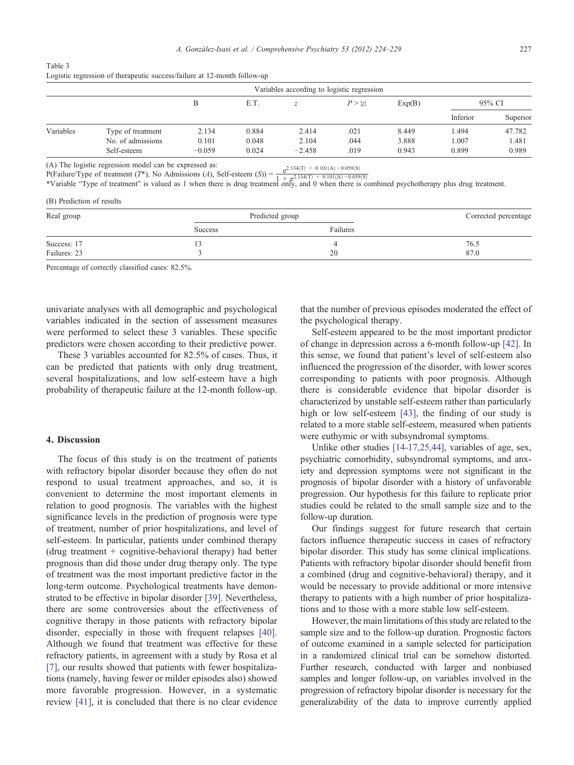<span id="page-3-0"></span>

| Table 3                                                                  |  |
|--------------------------------------------------------------------------|--|
| Logistic regression of therapeutic success/failure at 12-month follow-up |  |

|           |                   | Variables according to logistic regression |       |          |        |                  |          |          |
|-----------|-------------------|--------------------------------------------|-------|----------|--------|------------------|----------|----------|
|           |                   | Β                                          | E.T.  | z        | P >  z | 95% CI<br>Exp(B) |          |          |
|           |                   |                                            |       |          |        |                  | Inferior | Superior |
| Variables | Type of treatment | 2.134                                      | 0.884 | 2.414    | .021   | 8.449            | .494     | 47.782   |
|           | No. of admissions | 0.101                                      | 0.048 | 2.104    | .044   | 3.888            | .007     | 1.481    |
|           | Self-esteem       | $-0.059$                                   | 0.024 | $-2.458$ | .019   | 0.943            | 0.899    | 0.989    |

(A) The logistic regression model can be expressed as:

 $P(\text{Failure/Type of treatment (T*), No Admissions } (A), \text{Self-esteem (S))} = \frac{e^{2.134(T) + 0.101(A) - 0.059(S)}}{1 + e^{2.134(T) + 0.101(A) - 0.059(S)}}$ <br>\*Variable "Type of treatment" is valued as 1 when there is drug treatment only, and 0 when there is combined psychotherapy pl

(B) Prediction of results

| Real group   | Predicted group | Corrected percentage |      |
|--------------|-----------------|----------------------|------|
|              | <b>Success</b>  | Failures             |      |
| Success: 17  |                 |                      | 76.5 |
| Failures: 23 |                 | 20                   | 87.0 |
|              |                 |                      |      |

Percentage of correctly classified cases: 82.5%.

univariate analyses with all demographic and psychological variables indicated in the section of assessment measures were performed to select these 3 variables. These specific predictors were chosen according to their predictive power.

These 3 variables accounted for 82.5% of cases. Thus, it can be predicted that patients with only drug treatment, several hospitalizations, and low self-esteem have a high probability of therapeutic failure at the 12-month follow-up.

## 4. Discussion

The focus of this study is on the treatment of patients with refractory bipolar disorder because they often do not respond to usual treatment approaches, and so, it is convenient to determine the most important elements in relation to good prognosis. The variables with the highest significance levels in the prediction of prognosis were type of treatment, number of prior hospitalizations, and level of self-esteem. In particular, patients under combined therapy (drug treatment + cognitive-behavioral therapy) had better prognosis than did those under drug therapy only. The type of treatment was the most important predictive factor in the long-term outcome. Psychological treatments have demonstrated to be effective in bipolar disorder [\[39\]](#page-5-0). Nevertheless, there are some controversies about the effectiveness of cognitive therapy in those patients with refractory bipolar disorder, especially in those with frequent relapses [\[40\]](#page-5-0). Although we found that treatment was effective for these refractory patients, in agreement with a study by Rosa et al [\[7\]](#page-4-0), our results showed that patients with fewer hospitalizations (namely, having fewer or milder episodes also) showed more favorable progression. However, in a systematic review [\[41\],](#page-5-0) it is concluded that there is no clear evidence

that the number of previous episodes moderated the effect of the psychological therapy.

Self-esteem appeared to be the most important predictor of change in depression across a 6-month follow-up [\[42\].](#page-5-0) In this sense, we found that patient's level of self-esteem also influenced the progression of the disorder, with lower scores corresponding to patients with poor prognosis. Although there is considerable evidence that bipolar disorder is characterized by unstable self-esteem rather than particularly high or low self-esteem [\[43\],](#page-5-0) the finding of our study is related to a more stable self-esteem, measured when patients were euthymic or with subsyndromal symptoms.

Unlike other studies [\[14-17,25,44\],](#page-4-0) variables of age, sex, psychiatric comorbidity, subsyndromal symptoms, and anxiety and depression symptoms were not significant in the prognosis of bipolar disorder with a history of unfavorable progression. Our hypothesis for this failure to replicate prior studies could be related to the small sample size and to the follow-up duration.

Our findings suggest for future research that certain factors influence therapeutic success in cases of refractory bipolar disorder. This study has some clinical implications. Patients with refractory bipolar disorder should benefit from a combined (drug and cognitive-behavioral) therapy, and it would be necessary to provide additional or more intensive therapy to patients with a high number of prior hospitalizations and to those with a more stable low self-esteem.

However, the main limitations of this study are related to the sample size and to the follow-up duration. Prognostic factors of outcome examined in a sample selected for participation in a randomized clinical trial can be somehow distorted. Further research, conducted with larger and nonbiased samples and longer follow-up, on variables involved in the progression of refractory bipolar disorder is necessary for the generalizability of the data to improve currently applied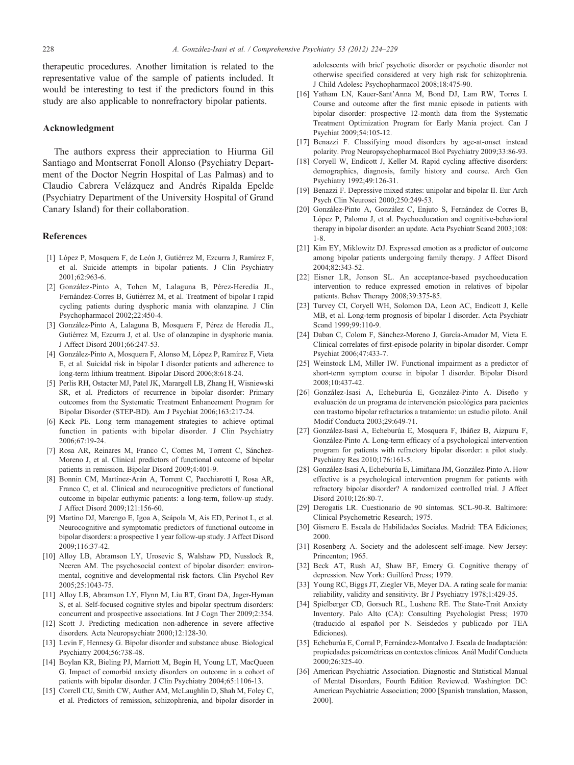<span id="page-4-0"></span>therapeutic procedures. Another limitation is related to the representative value of the sample of patients included. It would be interesting to test if the predictors found in this study are also applicable to nonrefractory bipolar patients.

## Acknowledgment

The authors express their appreciation to Hiurma Gil Santiago and Montserrat Fonoll Alonso (Psychiatry Department of the Doctor Negrín Hospital of Las Palmas) and to Claudio Cabrera Velázquez and Andrés Ripalda Epelde (Psychiatry Department of the University Hospital of Grand Canary Island) for their collaboration.

#### References

- [1] López P, Mosquera F, de León J, Gutiérrez M, Ezcurra J, Ramírez F, et al. Suicide attempts in bipolar patients. J Clin Psychiatry 2001;62:963-6.
- [2] González-Pinto A, Tohen M, Lalaguna B, Pérez-Heredia JL, Fernández-Corres B, Gutiérrez M, et al. Treatment of bipolar I rapid cycling patients during dysphoric mania with olanzapine. J Clin Psychopharmacol 2002;22:450-4.
- [3] González-Pinto A, Lalaguna B, Mosquera F, Pérez de Heredia JL, Gutiérrez M, Ezcurra J, et al. Use of olanzapine in dysphoric mania. J Affect Disord 2001;66:247-53.
- [4] González-Pinto A, Mosquera F, Alonso M, López P, Ramírez F, Vieta E, et al. Suicidal risk in bipolar I disorder patients and adherence to long-term lithium treatment. Bipolar Disord 2006;8:618-24.
- [5] Perlis RH, Ostacter MJ, Patel JK, Marargell LB, Zhang H, Wisniewski SR, et al. Predictors of recurrence in bipolar disorder: Primary outcomes from the Systematic Treatment Enhancement Program for Bipolar Disorder (STEP-BD). Am J Psychiat 2006;163:217-24.
- [6] Keck PE. Long term management strategies to achieve optimal function in patients with bipolar disorder. J Clin Psychiatry 2006;67:19-24.
- [7] Rosa AR, Reinares M, Franco C, Comes M, Torrent C, Sánchez-Moreno J, et al. Clinical predictors of functional outcome of bipolar patients in remission. Bipolar Disord 2009;4:401-9.
- [8] Bonnin CM, Martínez-Arán A, Torrent C, Pacchiarotti I, Rosa AR, Franco C, et al. Clinical and neurocognitive predictors of functional outcome in bipolar euthymic patients: a long-term, follow-up study. J Affect Disord 2009;121:156-60.
- [9] Martino DJ, Marengo E, Igoa A, Scápola M, Ais ED, Perinot L, et al. Neurocognitive and symptomatic predictors of functional outcome in bipolar disorders: a prospective 1 year follow-up study. J Affect Disord 2009;116:37-42.
- [10] Alloy LB, Abramson LY, Urosevic S, Walshaw PD, Nusslock R, Neeren AM. The psychosocial context of bipolar disorder: environmental, cognitive and developmental risk factors. Clin Psychol Rev 2005;25:1043-75.
- [11] Alloy LB, Abramson LY, Flynn M, Liu RT, Grant DA, Jager-Hyman S, et al. Self-focused cognitive styles and bipolar spectrum disorders: concurrent and prospective associations. Int J Cogn Ther 2009;2:354.
- [12] Scott J. Predicting medication non-adherence in severe affective disorders. Acta Neuropsychiatr 2000;12:128-30.
- [13] Levin F, Hennesy G. Bipolar disorder and substance abuse. Biological Psychiatry 2004;56:738-48.
- [14] Boylan KR, Bieling PJ, Marriott M, Begin H, Young LT, MacQueen G. Impact of comorbid anxiety disorders on outcome in a cohort of patients with bipolar disorder. J Clin Psychiatry 2004;65:1106-13.
- [15] Correll CU, Smith CW, Auther AM, McLaughlin D, Shah M, Foley C, et al. Predictors of remission, schizophrenia, and bipolar disorder in

adolescents with brief psychotic disorder or psychotic disorder not otherwise specified considered at very high risk for schizophrenia. J Child Adolesc Psychopharmacol 2008;18:475-90.

- [16] Yatham LN, Kauer-Sant'Anna M, Bond DJ, Lam RW, Torres I. Course and outcome after the first manic episode in patients with bipolar disorder: prospective 12-month data from the Systematic Treatment Optimization Program for Early Mania project. Can J Psychiat 2009;54:105-12.
- [17] Benazzi F. Classifying mood disorders by age-at-onset instead polarity. Prog Neuropsychopharmacol Biol Psychiatry 2009;33:86-93.
- [18] Coryell W, Endicott J, Keller M. Rapid cycling affective disorders: demographics, diagnosis, family history and course. Arch Gen Psychiatry 1992;49:126-31.
- [19] Benazzi F. Depressive mixed states: unipolar and bipolar II. Eur Arch Psych Clin Neurosci 2000;250:249-53.
- [20] González-Pinto A, González C, Enjuto S, Fernández de Corres B, López P, Palomo J, et al. Psychoeducation and cognitive-behavioral therapy in bipolar disorder: an update. Acta Psychiatr Scand 2003;108: 1-8.
- [21] Kim EY, Miklowitz DJ. Expressed emotion as a predictor of outcome among bipolar patients undergoing family therapy. J Affect Disord 2004;82:343-52.
- [22] Eisner LR, Jonson SL. An acceptance-based psychoeducation intervention to reduce expressed emotion in relatives of bipolar patients. Behav Therapy 2008;39:375-85.
- [23] Turvey CI, Coryell WH, Solomon DA, Leon AC, Endicott J, Kelle MB, et al. Long-term prognosis of bipolar I disorder. Acta Psychiatr Scand 1999;99:110-9.
- [24] Daban C, Colom F, Sánchez-Moreno J, García-Amador M, Vieta E. Clinical correlates of first-episode polarity in bipolar disorder. Compr Psychiat 2006;47:433-7.
- [25] Weinstock LM, Miller IW. Functional impairment as a predictor of short-term symptom course in bipolar I disorder. Bipolar Disord 2008;10:437-42.
- [26] González-Isasi A, Echeburúa E, González-Pinto A. Diseño y evaluación de un programa de intervención psicológica para pacientes con trastorno bipolar refractarios a tratamiento: un estudio piloto. Anál Modif Conducta 2003;29:649-71.
- [27] González-Isasi A, Echeburúa E, Mosquera F, Ibáñez B, Aizpuru F, González-Pinto A. Long-term efficacy of a psychological intervention program for patients with refractory bipolar disorder: a pilot study. Psychiatry Res 2010;176:161-5.
- [28] González-Isasi A, Echeburúa E, Limiñana JM, González-Pinto A. How effective is a psychological intervention program for patients with refractory bipolar disorder? A randomized controlled trial. J Affect Disord 2010;126:80-7.
- [29] Derogatis LR. Cuestionario de 90 síntomas. SCL-90-R. Baltimore: Clinical Psychometric Research; 1975.
- [30] Gismero E. Escala de Habilidades Sociales. Madrid: TEA Ediciones; 2000.
- [31] Rosenberg A. Society and the adolescent self-image. New Jersey: Princenton; 1965.
- [32] Beck AT, Rush AJ, Shaw BF, Emery G. Cognitive therapy of depression. New York: Guilford Press; 1979.
- [33] Young RC, Biggs JT, Ziegler VE, Meyer DA. A rating scale for mania: reliability, validity and sensitivity. Br J Psychiatry 1978;1:429-35.
- [34] Spielberger CD, Gorsuch RL, Lushene RE. The State-Trait Anxiety Inventory. Palo Alto (CA): Consulting Psychologist Press; 1970 (traducido al español por N. Seisdedos y publicado por TEA Ediciones).
- [35] Echeburúa E, Corral P, Fernández-Montalvo J. Escala de Inadaptación: propiedades psicométricas en contextos clínicos. Anál Modif Conducta 2000;26:325-40.
- [36] American Psychiatric Association. Diagnostic and Statistical Manual of Mental Disorders, Fourth Edition Reviewed. Washington DC: American Psychiatric Association; 2000 [Spanish translation, Masson, 2000].